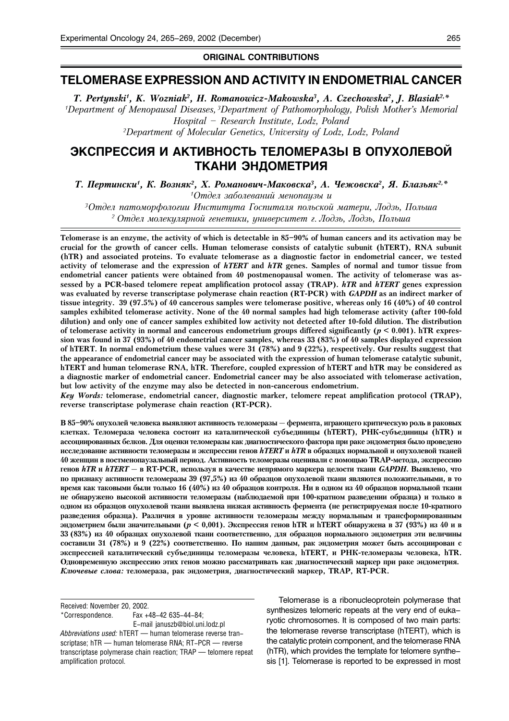ORIGINAL CONTRIBUTIONS

# TELOMERASE EXPRESSION AND ACTIVITY IN ENDOMETRIAL CANCER

T. Pertynski<sup>1</sup>, K. Wozniak<sup>2</sup>, H. Romanowicz-Makowska<sup>3</sup>, A. Czechowska<sup>2</sup>, J. Blasiak<sup>2,\*</sup> <sup>1</sup>Department of Menopausal Diseases, <sup>3</sup>Department of Pathomorphology, Polish Mother's Memorial Hospital – Research Institute, Lodz, Poland 2 Department of Molecular Genetics, University of Lodz, Lodz, Poland

# ЭКСПРЕССИЯ И АКТИВНОСТЬ ТЕЛОМЕРАЗЫ В ОПУХОЛЕВОЙ ТКАНИ ЭНДОМЕТРИЯ

Т. Пертински<sup>1</sup>, К. Возняк<sup>2</sup>, Х. Романович-Маковска<sup>3</sup>, А. Чежовска<sup>2</sup>, Я. Блазьяк<sup>2,\*</sup>

1Отдел заболеваний менопаузы и

 $^3$ Отдел патоморфологии Института Госпиталя польской матери, Лодзь, Польша <sup>2</sup> Отдел молекулярной генетики, университет г. Лодзь, Лодзь, Польша

Telomerase is an enzyme, the activity of which is detectable in 85–90% of human cancers and its activation may be crucial for the growth of cancer cells. Human telomerase consists of catalytic subunit (hTERT), RNA subunit (hTR) and associated proteins. To evaluate telomerase as a diagnostic factor in endometrial cancer, we tested activity of telomerase and the expression of hTERT and hTR genes. Samples of normal and tumor tissue from endometrial cancer patients were obtained from 40 postmenopausal women. The activity of telomerase was assessed by a PCR-based telomere repeat amplification protocol assay (TRAP). hTR and hTERT genes expression was evaluated by reverse transcriptase polymerase chain reaction (RT-PCR) with GAPDH as an indirect marker of tissue integrity. 39 (97.5%) of 40 cancerous samples were telomerase positive, whereas only 16 (40%) of 40 control samples exhibited telomerase activity. None of the 40 normal samples had high telomerase activity (after 100-fold dilution) and only one of cancer samples exhibited low activity not detected after 10-fold dilution. The distribution of telomerase activity in normal and cancerous endometrium groups differed significantly ( $p < 0.001$ ). hTR expression was found in 37 (93%) of 40 endometrial cancer samples, whereas 33 (83%) of 40 samples displayed expression of hTERT. In normal endometrium these values were 31 (78%) and 9 (22%), respectively. Our results suggest that the appearance of endometrial cancer may be associated with the expression of human telomerase catalytic subunit, hTERT and human telomerase RNA, hTR. Therefore, coupled expression of hTERT and hTR may be considered as a diagnostic marker of endometrial cancer. Endometrial cancer may be also associated with telomerase activation, but low activity of the enzyme may also be detected in non-cancerous endometrium.

Key Words: telomerase, endometrial cancer, diagnostic marker, telomere repeat amplification protocol (TRAP), reverse transcriptase polymerase chain reaction (RT-PCR).

В 85-90% опухолей человека выявляют активность теломеразы — фермента, играющего критическую роль в раковых клетках. Теломераза человека состоит из каталитической субъединицы (hTERT), РНК-субъединицы (hTR) и ассоциированных белков. Для оценки теломеразы как диагностического фактора при раке эндометрия было проведено исследование активности теломеразы и экспрессии генов hTERT и hTR в образцах нормальной и опухолевой тканей 40 женщин в постменопаузальный период. Активность теломеразы оценивали с помощью TRAP-метода, экспрессию генов  $hTR$  и  $hTERT - B$  RT-PCR, используя в качестве непрямого маркера целости ткани *GAPDH*. Выявлено, что по признаку активности теломеразы 39 (97,5%) из 40 образцов опухолевой ткани являются положительными, в то время как таковыми были только 16 (40%) из 40 образцов контроля. Ни в одном из 40 образцов нормальной ткани не обнаружено высокой активности теломеразы (наблюдаемой при 100-кратном разведении образца) и только в одном из образцов опухолевой ткани выявлена низкая активность фермента (не регистрируемая после 10-кратного разведения образца). Различия в уровне активности теломеразы между нормальным и трансформированным эндометрием были значительными ( $p < 0,001$ ). Экспрессия генов hTR и hTERT обнаружена в 37 (93%) из 40 и в 33 (83%) из 40 образцах опухолевой ткани соответственно, для образцов нормального эндометрия эти величины составили 31 (78%) и 9 (22%) соответственно. По нашим данным, рак эндометрия может быть ассоциирован с экспрессией каталитический субъединицы теломеразы человека, hTERT, и РНК-теломеразы человека, hTR. Одновременную экспрессию этих генов можно рассматривать как диагностический маркер при раке эндометрия. Ключевые слова: теломераза, рак эндометрия, диагностический маркер, TRAP, RT-PCR.

Received: November 20, 2002. \*Correspondence. Fax +48-42 635-44-84; E-mail januszb@biol.uni.lodz.pl Abbreviations used: hTERT - human telomerase reverse transcriptase; hTR — human telomerase RNA; RT-PCR — reverse transcriptase polymerase chain reaction; TRAP — telomere repeat

amplification protocol.

Telomerase is a ribonucleoprotein polymerase that synthesizes telomeric repeats at the very end of eukaryotic chromosomes. It is composed of two main parts: the telomerase reverse transcriptase (hTERT), which is the catalytic protein component, and the telomerase RNA (hTR), which provides the template for telomere synthesis [1]. Telomerase is reported to be expressed in most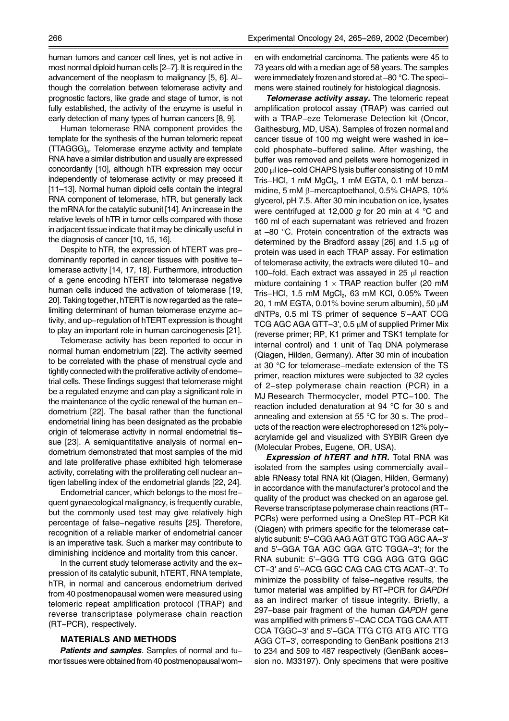human tumors and cancer cell lines, yet is not active in most normal diploid human cells [2–7]. It is required in the advancement of the neoplasm to malignancy [5, 6]. Although the correlation between telomerase activity and prognostic factors, like grade and stage of tumor, is not fully established, the activity of the enzyme is useful in early detection of many types of human cancers [8, 9].

Human telomerase RNA component provides the template for the synthesis of the human telomeric repeat (TTAGGG)<sub>n</sub>. Telomerase enzyme activity and template RNA have a similar distribution and usually are expressed concordantly [10], although hTR expression may occur independently of telomerase activity or may preceed it [11–13]. Normal human diploid cells contain the integral RNA component of telomerase, hTR, but generally lack the mRNA for the catalytic subunit [14]. An increase in the relative levels of hTR in tumor cells compared with those in adjacent tissue indicate that it may be clinically useful in the diagnosis of cancer [10, 15, 16].

Despite to hTR, the expression of hTERT was predominantly reported in cancer tissues with positive telomerase activity [14, 17, 18]. Furthermore, introduction of a gene encoding hTERT into telomerase negative human cells induced the activation of telomerase [19, 20]. Taking together, hTERT is now regarded as the ratelimiting determinant of human telomerase enzyme activity, and up-regulation of hTERT expression is thought to play an important role in human carcinogenesis [21].

Telomerase activity has been reported to occur in normal human endometrium [22]. The activity seemed to be correlated with the phase of menstrual cycle and tightly connected with the proliferative activity of endometrial cells. These findings suggest that telomerase might be a regulated enzyme and can play a significant role in the maintenance of the cyclic renewal of the human endometrium [22]. The basal rather than the functional endometrial lining has been designated as the probable origin of telomerase activity in normal endometrial tissue [23]. A semiquantitative analysis of normal endometrium demonstrated that most samples of the mid and late proliferative phase exhibited high telomerase activity, correlating with the proliferating cell nuclear antigen labelling index of the endometrial glands [22, 24].

Endometrial cancer, which belongs to the most frequent gynaecological malignancy, is frequently curable, but the commonly used test may give relatively high percentage of false-negative results [25]. Therefore, recognition of a reliable marker of endometrial cancer is an imperative task. Such a marker may contribute to diminishing incidence and mortality from this cancer.

In the current study telomerase activity and the expression of its catalytic subunit, hTERT, RNA template, hTR, in normal and cancerous endometrium derived from 40 postmenopausal women were measured using telomeric repeat amplification protocol (TRAP) and reverse transcriptase polymerase chain reaction (RT-PCR), respectively.

## MATERIALS AND METHODS

Patients and samples. Samples of normal and tumor tissues were obtained from 40 postmenopausal women with endometrial carcinoma. The patients were 45 to 73 years old with a median age of 58 years. The samples were immediately frozen and stored at -80 °C. The specimens were stained routinely for histological diagnosis.

Telomerase activity assay. The telomeric repeat amplification protocol assay (TRAP) was carried out with a TRAP-eze Telomerase Detection kit (Oncor, Gaithesburg, MD, USA). Samples of frozen normal and cancer tissue of 100 mg weight were washed in icecold phosphate-buffered saline. After washing, the buffer was removed and pellets were homogenized in 200 µl ice-cold CHAPS lysis buffer consisting of 10 mM Tris-HCl, 1 mM MgCl<sub>2</sub>, 1 mM EGTA, 0.1 mM benzamidine, 5 mM β-mercaptoethanol, 0.5% CHAPS, 10% glycerol, pH 7.5. After 30 min incubation on ice, lysates were centrifuged at 12,000 g for 20 min at 4  $\degree$ C and 160 ml of each supernatant was retrieved and frozen at –80 °C. Protein concentration of the extracts was determined by the Bradford assay [26] and 1.5 µg of protein was used in each TRAP assay. For estimation of telomerase activity, the extracts were diluted 10- and 100-fold. Each extract was assayed in 25 µl reaction mixture containing  $1 \times TRAP$  reaction buffer (20 mM Tris-HCl, 1.5 mM  $MgCl<sub>2</sub>$ , 63 mM KCl, 0.05% Tween 20, 1 mM EGTA, 0.01% bovine serum albumin), 50  $\mu$ M dNTPs, 0.5 ml TS primer of sequence 5'-AAT CCG TCG AGC AGA GTT-3', 0.5 µM of supplied Primer Mix (reverse primer; RP, K1 primer and TSK1 template for internal control) and 1 unit of Taq DNA polymerase (Qiagen, Hilden, Germany). After 30 min of incubation at 30 °C for telomerase-mediate extension of the TS primer, reaction mixtures were subjected to 32 cycles of 2-step polymerase chain reaction (PCR) in a MJ Research Thermocycler, model PTC-100. The reaction included denaturation at 94 °C for 30 s and annealing and extension at 55 °C for 30 s. The products of the reaction were electrophoresed on 12% polyacrylamide gel and visualized with SYBIR Green dye (Molecular Probes, Eugene, OR, USA).

**Expression of hTERT and hTR.** Total RNA was isolated from the samples using commercially available RNeasy total RNA kit (Qiagen, Hilden, Germany) in accordance with the manufacturer's protocol and the quality of the product was checked on an agarose gel. Reverse transcriptase polymerase chain reactions (RT-PCRs) were performed using a OneStep RT-PCR Kit (Qiagen) with primers specific for the telomerase catalytic subunit: 5'-CGG AAG AGT GTC TGG AGC AA-3' and 5'-GGA TGA AGC GGA GTC TGGA-3'; for the RNA subunit: 5'-GGG TTG CGG AGG GTG GGC CT-3' and 5'-ACG GGC CAG CAG CTG ACAT-3'. To minimize the possibility of false-negative results, the tumor material was amplified by RT-PCR for GAPDH as an indirect marker of tissue integrity. Briefly, a 297-base pair fragment of the human GAPDH gene was amplified with primers 5'-CAC CCA TGG CAA ATT CCA TGGC-3' and 5'-GCA TTG CTG ATG ATC TTG AGG CT-3', corresponding to GenBank positions 213 to 234 and 509 to 487 respectively (GenBank accession no. M33197). Only specimens that were positive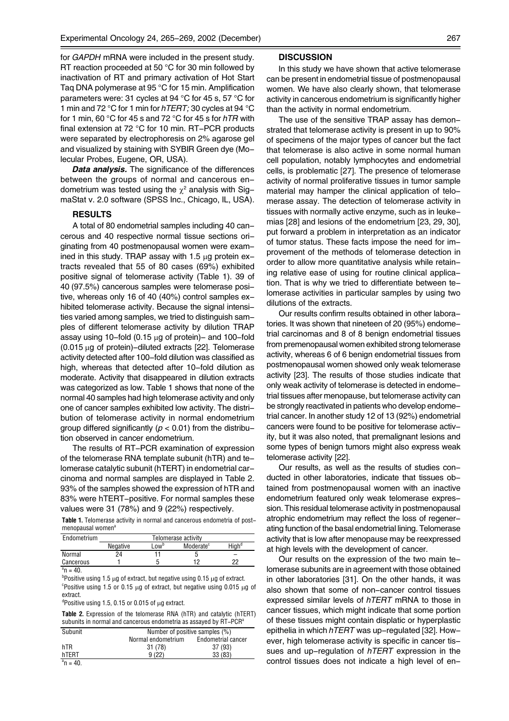for GAPDH mRNA were included in the present study. RT reaction proceeded at 50 °C for 30 min followed by inactivation of RT and primary activation of Hot Start Taq DNA polymerase at 95 °C for 15 min. Amplification parameters were: 31 cycles at 94 °C for 45 s, 57 °C for 1 min and 72 °C for 1 min for hTERT; 30 cycles at 94 °C for 1 min, 60 °C for 45 s and 72 °C for 45 s for hTR with final extension at 72 °C for 10 min. RT-PCR products were separated by electrophoresis on 2% agarose gel and visualized by staining with SYBIR Green dye (Molecular Probes, Eugene, OR, USA).

**Data analysis.** The significance of the differences between the groups of normal and cancerous endometrium was tested using the  $\chi^2$  analysis with SigmaStat v. 2.0 software (SPSS Inc., Chicago, IL, USA).

## RESULTS

A total of 80 endometrial samples including 40 cancerous and 40 respective normal tissue sections originating from 40 postmenopausal women were examined in this study. TRAP assay with 1.5  $\mu$ g protein extracts revealed that 55 of 80 cases (69%) exhibited positive signal of telomerase activity (Table 1). 39 of 40 (97.5%) cancerous samples were telomerase positive, whereas only 16 of 40 (40%) control samples exhibited telomerase activity. Because the signal intensities varied among samples, we tried to distinguish samples of different telomerase activity by dilution TRAP assay using 10-fold (0.15  $\mu$ g of protein)- and 100-fold  $(0.015 \,\mu g)$  of protein)-diluted extracts [22]. Telomerase activity detected after 100-fold dilution was classified as high, whereas that detected after 10-fold dilution as moderate. Activity that disappeared in dilution extracts was categorized as low. Table 1 shows that none of the normal 40 samples had high telomerase activity and only one of cancer samples exhibited low activity. The distribution of telomerase activity in normal endometrium group differed significantly ( $p < 0.01$ ) from the distribution observed in cancer endometrium.

The results of RT-PCR examination of expression of the telomerase RNA template subunit (hTR) and telomerase catalytic subunit (hTERT) in endometrial carcinoma and normal samples are displayed in Table 2. 93% of the samples showed the expression of hTR and 83% were hTERT-positive. For normal samples these values were 31 (78%) and 9 (22%) respectively.

Table 1. Telomerase activity in normal and cancerous endometria of postmenopausal women<sup>6</sup>

| Endometrium                    | Telomerase activity |         |                       |                   |
|--------------------------------|---------------------|---------|-----------------------|-------------------|
|                                | Negative            | $-0W^D$ | Moderate <sup>c</sup> | Hiah <sup>a</sup> |
| Normal                         | 24                  |         |                       |                   |
| Cancerous                      |                     |         | 10                    | っっ                |
| $a_{\mathbf{n}}$<br>$\sqrt{2}$ |                     |         |                       |                   |

 $^{\circ}$ n = 40.

b positive using 1.5  $\mu$ g of extract, but negative using 0.15  $\mu$ g of extract. <sup>c</sup>Positive using 1.5 or 0.15  $\mu$ g of extract, but negative using 0.015  $\mu$ g of extract.

 $d$ Positive using 1.5, 0.15 or 0.015 of  $\mu$ g extract.

Table 2. Expression of the telomerase RNA (hTR) and catalytic (hTERT) subunits in normal and cancerous endometria as assayed by RT-PCR<sup>a</sup>

| Subunit          |                    | Number of positive samples (%) |  |  |  |
|------------------|--------------------|--------------------------------|--|--|--|
|                  | Normal endometrium | Endometrial cancer             |  |  |  |
| hTR              | 31 (78)            | 37(93)                         |  |  |  |
| hTERT            | 9(22)              | 33(83)                         |  |  |  |
| $\sim$<br>$\sim$ |                    |                                |  |  |  |

 $^{\circ}$ n = 40.

#### **DISCUSSION**

In this study we have shown that active telomerase can be present in endometrial tissue of postmenopausal women. We have also clearly shown, that telomerase activity in cancerous endometrium is significantly higher than the activity in normal endometrium.

The use of the sensitive TRAP assay has demonstrated that telomerase activity is present in up to 90% of specimens of the major types of cancer but the fact that telomerase is also active in some normal human cell population, notably lymphocytes and endometrial cells, is problematic [27]. The presence of telomerase activity of normal proliferative tissues in tumor sample material may hamper the clinical application of telomerase assay. The detection of telomerase activity in tissues with normally active enzyme, such as in leukemias [28] and lesions of the endometrium [23, 29, 30], put forward a problem in interpretation as an indicator of tumor status. These facts impose the need for improvement of the methods of telomerase detection in order to allow more quantitative analysis while retaining relative ease of using for routine clinical application. That is why we tried to differentiate between telomerase activities in particular samples by using two dilutions of the extracts.

Our results confirm results obtained in other laboratories. It was shown that nineteen of 20 (95%) endometrial carcinomas and 8 of 8 benign endometrial tissues from premenopausal women exhibited strong telomerase activity, whereas 6 of 6 benign endometrial tissues from postmenopausal women showed only weak telomerase activity [23]. The results of those studies indicate that only weak activity of telomerase is detected in endometrial tissues after menopause, but telomerase activity can be strongly reactivated in patients who develop endometrial cancer. In another study 12 of 13 (92%) endometrial cancers were found to be positive for telomerase activity, but it was also noted, that premalignant lesions and some types of benign tumors might also express weak telomerase activity [22].

Our results, as well as the results of studies conducted in other laboratories, indicate that tissues obtained from postmenopausal women with an inactive endometrium featured only weak telomerase expression. This residual telomerase activity in postmenopausal atrophic endometrium may reflect the loss of regenerating function of the basal endometrial lining. Telomerase activity that is low after menopause may be reexpressed at high levels with the development of cancer.

Our results on the expression of the two main telomerase subunits are in agreement with those obtained in other laboratories [31]. On the other hands, it was also shown that some of non-cancer control tissues expressed similar levels of hTERT mRNA to those in cancer tissues, which might indicate that some portion of these tissues might contain displatic or hyperplastic epithelia in which  $hTERT$  was up-regulated [32]. However, high telomerase activity is specific in cancer tissues and up-regulation of hTERT expression in the control tissues does not indicate a high level of en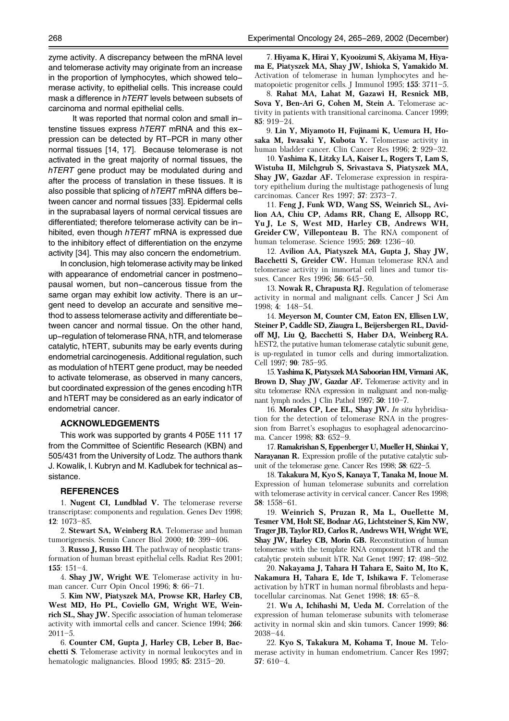zyme activity. A discrepancy between the mRNA level and telomerase activity may originate from an increase in the proportion of lymphocytes, which showed telomerase activity, to epithelial cells. This increase could mask a difference in hTERT levels between subsets of carcinoma and normal epithelial cells.

It was reported that normal colon and small intenstine tissues express hTERT mRNA and this expression can be detected by RT-PCR in many other normal tissues [14, 17]. Because telomerase is not activated in the great majority of normal tissues, the hTERT gene product may be modulated during and after the process of translation in these tissues. It is also possible that splicing of hTERT mRNA differs between cancer and normal tissues [33]. Epidermal cells in the suprabasal layers of normal cervical tissues are differentiated; therefore telomerase activity can be inhibited, even though hTERT mRNA is expressed due to the inhibitory effect of differentiation on the enzyme activity [34]. This may also concern the endometrium.

In conclusion, high telomerase activity may be linked with appearance of endometrial cancer in postmenopausal women, but non-cancerous tissue from the same organ may exhibit low activity. There is an urgent need to develop an accurate and sensitive method to assess telomerase activity and differentiate between cancer and normal tissue. On the other hand, up-regulation of telomerase RNA, hTR, and telomerase catalytic, hTERT, subunits may be early events during endometrial carcinogenesis. Additional regulation, such as modulation of hTERT gene product, may be needed to activate telomerase, as observed in many cancers, but coordinated expression of the genes encoding hTR and hTERT may be considered as an early indicator of endometrial cancer.

#### ACKNOWLEDGEMENTS

This work was supported by grants 4 P05E 111 17 from the Committee of Scientific Research (KBN) and 505/431 from the University of Lodz. The authors thank J. Kowalik, I. Kubryn and M. Kadlubek for technical assistance.

#### **REFERENCES**

1. Nugent CI, Lundblad V. The telomerase reverse transcriptase: components and regulation. Genes Dev 1998; 12: 1073–85.

2. Stewart SA, Weinberg RA. Telomerase and human tumorigenesis. Semin Cancer Biol 2000; 10: 399–406.

3. Russo J, Russo IH. The pathway of neoplastic transformation of human breast epithelial cells. Radiat Res 2001; 155: 151–4.

4. Shay JW, Wright WE. Telomerase activity in human cancer. Curr Opin Oncol 1996; 8: 66–71.

5. Kim NW, Piatyszek MA, Prowse KR, Harley CB, West MD, Ho PL, Coviello GM, Wright WE, Weinrich SL, Shay JW. Specific association of human telomerase activity with immortal cells and cancer. Science 1994; 266: 2011–5.

6. Counter CM, Gupta J, Harley CB, Leber B, Bacchetti S. Telomerase activity in normal leukocytes and in hematologic malignancies. Blood 1995; 85: 2315–20.

7. Hiyama K, Hirai Y, Kyooizumi S, Akiyama M, Hiyama E, Piatyszek MA, Shay JW, Ishioka S, Yamakido M. Activation of telomerase in human lymphocytes and hematopoietic progenitor cells. J Immunol 1995; 155: 3711–5.

8. Rahat MA, Lahat M, Gazawi H, Resnick MB, Sova Y, Ben-Ari G, Cohen M, Stein A. Telomerase activity in patients with transitional carcinoma. Cancer 1999; 85: 919–24.

9. Lin Y, Miyamoto H, Fujinami K, Uemura H, Hosaka M, Iwasaki Y, Kubota Y. Telomerase activity in human bladder cancer. Clin Cancer Res 1996; 2: 929–32.

10. Yashima K, Litzky LA, Kaiser L, Rogers T, Lam S, Wistuba II, Milchgrub S, Srivastava S, Piatyszek MA, Shay JW, Gazdar AF. Telomerase expression in respiratory epithelium during the multistage pathogenesis of lung carcinomas. Cancer Res 1997; 57: 2373–7.

11. Feng J, Funk WD, Wang SS, Weinrich SL, Avilion AA, Chiu CP, Adams RR, Chang E, Allsopp RC, Yu J, Le S, West MD, Harley CB, Andrews WH, Greider CW, Villeponteau B. The RNA component of human telomerase. Science 1995; 269: 1236–40.

12. Avilion AA, Piatyszek MA, Gupta J, Shay JW, Bacchetti S, Greider CW. Human telomerase RNA and telomerase activity in immortal cell lines and tumor tissues. Cancer Res 1996; 56: 645–50.

13. Nowak R, Chrapusta RJ. Regulation of telomerase activity in normal and malignant cells. Cancer J Sci Am 1998; 4: 148–54.

14. Meyerson M, Counter CM, Eaton EN, Ellisen LW, Steiner P, Caddle SD, Ziaugra L, Beijersbergen RL, Davidoff MJ, Liu Q, Bacchetti S, Haber DA, Weinberg RA. hEST2, the putative human telomerase catalytic subunit gene, is up-regulated in tumor cells and during immortalization. Cell 1997; 90: 785–95.

15. Yashima K, Piatyszek MA Saboorian HM, Virmani AK, Brown D, Shay JW, Gazdar AF. Telomerase activity and in situ telomerase RNA expression in malignant and non-malignant lymph nodes. J Clin Pathol 1997; 50: 110–7.

16. Morales CP, Lee EL, Shay JW. In situ hybridisation for the detection of telomerase RNA in the progression from Barret's esophagus to esophageal adenocarcinoma. Cancer 1998; 83: 652–9.

17. Ramakrishan S, Eppenberger U, Mueller H, Shinkai Y, Narayanan R. Expression profile of the putative catalytic subunit of the telomerase gene. Cancer Res 1998; 58: 622–5.

18. Takakura M, Kyo S, Kanaya T, Tanaka M, Inoue M. Expression of human telomerase subunits and correlation with telomerase activity in cervical cancer. Cancer Res 1998; 58: 1558–61.

19. Weinrich S, Pruzan R, Ma L, Ouellette M, Tesmer VM, Holt SE, Bodnar AG, Lichtsteiner S, Kim NW, Trager JB, Taylor RD, Carlos R, Andrews WH, Wright WE, Shay JW, Harley CB, Morin GB. Reconstitution of human telomerase with the template RNA component hTR and the catalytic protein subunit hTR. Nat Genet 1997; 17: 498–502.

20. Nakayama J, Tahara H Tahara E, Saito M, Ito K, Nakamura H, Tahara E, Ide T, Ishikawa F. Telomerase activation by hTRT in human normal fibroblasts and hepatocellular carcinomas. Nat Genet 1998; 18: 65–8.

21. Wu A, Ichihashi M, Ueda M. Correlation of the expression of human telomerase subunits with telomerase activity in normal skin and skin tumors. Cancer 1999; 86: 2038–44.

22. Kyo S, Takakura M, Kohama T, Inoue M. Telomerase activity in human endometrium. Cancer Res 1997; 57: 610–4.